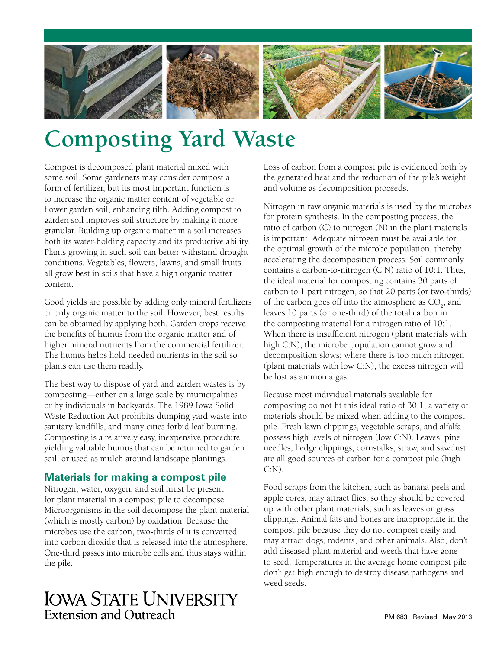

# **Composting Yard Waste**

Compost is decomposed plant material mixed with some soil. Some gardeners may consider compost a form of fertilizer, but its most important function is to increase the organic matter content of vegetable or flower garden soil, enhancing tilth. Adding compost to garden soil improves soil structure by making it more granular. Building up organic matter in a soil increases both its water-holding capacity and its productive ability. Plants growing in such soil can better withstand drought conditions. Vegetables, flowers, lawns, and small fruits all grow best in soils that have a high organic matter content.

Good yields are possible by adding only mineral fertilizers or only organic matter to the soil. However, best results can be obtained by applying both. Garden crops receive the benefits of humus from the organic matter and of higher mineral nutrients from the commercial fertilizer. The humus helps hold needed nutrients in the soil so plants can use them readily.

The best way to dispose of yard and garden wastes is by composting—either on a large scale by municipalities or by individuals in backyards. The 1989 Iowa Solid Waste Reduction Act prohibits dumping yard waste into sanitary landfills, and many cities forbid leaf burning. Composting is a relatively easy, inexpensive procedure yielding valuable humus that can be returned to garden soil, or used as mulch around landscape plantings.

## **Materials for making a compost pile**

Nitrogen, water, oxygen, and soil must be present for plant material in a compost pile to decompose. Microorganisms in the soil decompose the plant material (which is mostly carbon) by oxidation. Because the microbes use the carbon, two-thirds of it is converted into carbon dioxide that is released into the atmosphere. One-third passes into microbe cells and thus stays within the pile.

## **IOWA STATE UNIVERSITY** Extension and Outreach

Loss of carbon from a compost pile is evidenced both by the generated heat and the reduction of the pile's weight and volume as decomposition proceeds.

Nitrogen in raw organic materials is used by the microbes for protein synthesis. In the composting process, the ratio of carbon (C) to nitrogen (N) in the plant materials is important. Adequate nitrogen must be available for the optimal growth of the microbe population, thereby accelerating the decomposition process. Soil commonly contains a carbon-to-nitrogen (C:N) ratio of 10:1. Thus, the ideal material for composting contains 30 parts of carbon to 1 part nitrogen, so that 20 parts (or two-thirds) of the carbon goes off into the atmosphere as  $\mathrm{CO}_2^{\phantom{\dag}},$  and leaves 10 parts (or one-third) of the total carbon in the composting material for a nitrogen ratio of 10:1. When there is insufficient nitrogen (plant materials with high C:N), the microbe population cannot grow and decomposition slows; where there is too much nitrogen (plant materials with low C:N), the excess nitrogen will be lost as ammonia gas.

Because most individual materials available for composting do not fit this ideal ratio of 30:1, a variety of materials should be mixed when adding to the compost pile. Fresh lawn clippings, vegetable scraps, and alfalfa possess high levels of nitrogen (low C:N). Leaves, pine needles, hedge clippings, cornstalks, straw, and sawdust are all good sources of carbon for a compost pile (high C:N).

Food scraps from the kitchen, such as banana peels and apple cores, may attract flies, so they should be covered up with other plant materials, such as leaves or grass clippings. Animal fats and bones are inappropriate in the compost pile because they do not compost easily and may attract dogs, rodents, and other animals. Also, don't add diseased plant material and weeds that have gone to seed. Temperatures in the average home compost pile don't get high enough to destroy disease pathogens and weed seeds.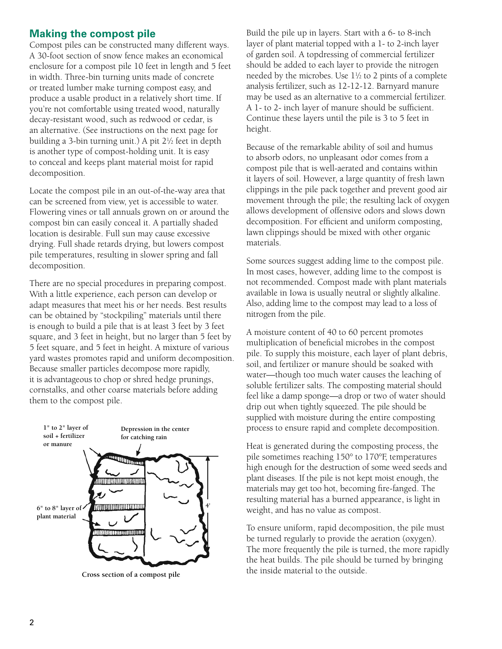## **Making the compost pile**

Compost piles can be constructed many different ways. A 30-foot section of snow fence makes an economical enclosure for a compost pile 10 feet in length and 5 feet in width. Three-bin turning units made of concrete or treated lumber make turning compost easy, and produce a usable product in a relatively short time. If you're not comfortable using treated wood, naturally decay-resistant wood, such as redwood or cedar, is an alternative. (See instructions on the next page for building a 3-bin turning unit.) A pit 21 ⁄2 feet in depth is another type of compost-holding unit. It is easy to conceal and keeps plant material moist for rapid decomposition.

Locate the compost pile in an out-of-the-way area that can be screened from view, yet is accessible to water. Flowering vines or tall annuals grown on or around the compost bin can easily conceal it. A partially shaded location is desirable. Full sun may cause excessive drying. Full shade retards drying, but lowers compost pile temperatures, resulting in slower spring and fall decomposition.

There are no special procedures in preparing compost. With a little experience, each person can develop or adapt measures that meet his or her needs. Best results can be obtained by "stockpiling" materials until there is enough to build a pile that is at least 3 feet by 3 feet square, and 3 feet in height, but no larger than 5 feet by 5 feet square, and 5 feet in height. A mixture of various yard wastes promotes rapid and uniform decomposition. Because smaller particles decompose more rapidly, it is advantageous to chop or shred hedge prunings, cornstalks, and other coarse materials before adding them to the compost pile.



**Cross section of a compost pile**

Build the pile up in layers. Start with a 6- to 8-inch layer of plant material topped with a 1- to 2-inch layer of garden soil. A topdressing of commercial fertilizer should be added to each layer to provide the nitrogen needed by the microbes. Use 11 ⁄2 to 2 pints of a complete analysis fertilizer, such as 12-12-12. Barnyard manure may be used as an alternative to a commercial fertilizer. A 1- to 2- inch layer of manure should be sufficient. Continue these layers until the pile is 3 to 5 feet in height.

Because of the remarkable ability of soil and humus to absorb odors, no unpleasant odor comes from a compost pile that is well-aerated and contains within it layers of soil. However, a large quantity of fresh lawn clippings in the pile pack together and prevent good air movement through the pile; the resulting lack of oxygen allows development of offensive odors and slows down decomposition. For efficient and uniform composting, lawn clippings should be mixed with other organic materials.

Some sources suggest adding lime to the compost pile. In most cases, however, adding lime to the compost is not recommended. Compost made with plant materials available in Iowa is usually neutral or slightly alkaline. Also, adding lime to the compost may lead to a loss of nitrogen from the pile.

A moisture content of 40 to 60 percent promotes multiplication of beneficial microbes in the compost pile. To supply this moisture, each layer of plant debris, soil, and fertilizer or manure should be soaked with water—though too much water causes the leaching of soluble fertilizer salts. The composting material should feel like a damp sponge—a drop or two of water should drip out when tightly squeezed. The pile should be supplied with moisture during the entire composting process to ensure rapid and complete decomposition.

Heat is generated during the composting process, the pile sometimes reaching 150° to 170°F, temperatures high enough for the destruction of some weed seeds and plant diseases. If the pile is not kept moist enough, the materials may get too hot, becoming fire-fanged. The resulting material has a burned appearance, is light in weight, and has no value as compost.

To ensure uniform, rapid decomposition, the pile must be turned regularly to provide the aeration (oxygen). The more frequently the pile is turned, the more rapidly the heat builds. The pile should be turned by bringing the inside material to the outside.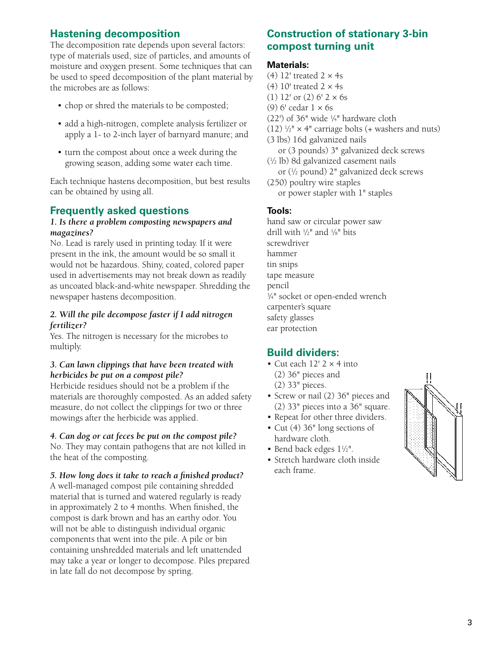## **Hastening decomposition**

The decomposition rate depends upon several factors: type of materials used, size of particles, and amounts of moisture and oxygen present. Some techniques that can be used to speed decomposition of the plant material by the microbes are as follows:

- chop or shred the materials to be composted;
- add a high-nitrogen, complete analysis fertilizer or apply a 1- to 2-inch layer of barnyard manure; and
- turn the compost about once a week during the growing season, adding some water each time.

Each technique hastens decomposition, but best results can be obtained by using all.

### **Frequently asked questions**

#### *1. Is there a problem composting newspapers and magazines?*

No. Lead is rarely used in printing today. If it were present in the ink, the amount would be so small it would not be hazardous. Shiny, coated, colored paper used in advertisements may not break down as readily as uncoated black-and-white newspaper. Shredding the newspaper hastens decomposition.

#### *2. Will the pile decompose faster if I add nitrogen fertilizer?*

Yes. The nitrogen is necessary for the microbes to multiply.

#### *3. Can lawn clippings that have been treated with herbicides be put on a compost pile?*

Herbicide residues should not be a problem if the materials are thoroughly composted. As an added safety measure, do not collect the clippings for two or three mowings after the herbicide was applied.

#### *4. Can dog or cat feces be put on the compost pile?*

No. They may contain pathogens that are not killed in the heat of the composting.

#### *5. How long does it take to reach a finished product?*

A well-managed compost pile containing shredded material that is turned and watered regularly is ready in approximately 2 to 4 months. When finished, the compost is dark brown and has an earthy odor. You will not be able to distinguish individual organic components that went into the pile. A pile or bin containing unshredded materials and left unattended may take a year or longer to decompose. Piles prepared in late fall do not decompose by spring.

## **Construction of stationary 3-bin compost turning unit**

#### **Materials:**

(4) 12' treated  $2 \times 4s$ (4)  $10'$  treated  $2 \times 4s$ (1) 12' or (2)  $6'$  2  $\times$  6s (9) 6' cedar 1 × 6s (22') of 36" wide 1 ⁄4" hardware cloth  $(12)$  <sup>1</sup>/<sub>2</sub>" × 4" carriage bolts (+ washers and nuts) (3 lbs) 16d galvanized nails or (3 pounds) 3" galvanized deck screws (1 ⁄2 lb) 8d galvanized casement nails or (1 ⁄2 pound) 2" galvanized deck screws (250) poultry wire staples or power stapler with 1" staples

#### **Tools:**

hand saw or circular power saw drill with 1 ⁄2" and 1 ⁄8" bits screwdriver hammer tin snips tape measure pencil 3 ⁄4" socket or open-ended wrench carpenter's square safety glasses ear protection

## **Build dividers:**

- Cut each  $12'$  2  $\times$  4 into (2) 36" pieces and (2) 33" pieces.
- Screw or nail (2) 36" pieces and (2) 33" pieces into a 36" square.
- Repeat for other three dividers.
- Cut (4) 36" long sections of hardware cloth.
- Bend back edges  $1\frac{1}{2}$ ".
- Stretch hardware cloth inside each frame.